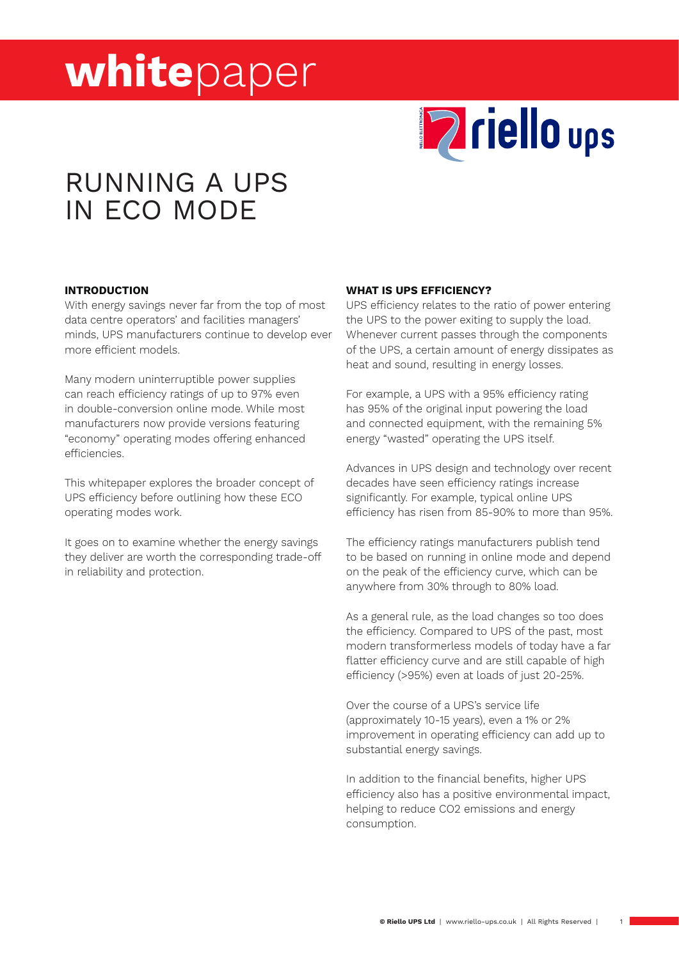

# RUNNING A UPS IN ECO MODE

#### **INTRODUCTION**

With energy savings never far from the top of most data centre operators' and facilities managers' minds, UPS manufacturers continue to develop ever more efficient models.

Many modern uninterruptible power supplies can reach efficiency ratings of up to 97% even in double-conversion online mode. While most manufacturers now provide versions featuring "economy" operating modes offering enhanced efficiencies.

This whitepaper explores the broader concept of UPS efficiency before outlining how these ECO operating modes work.

It goes on to examine whether the energy savings they deliver are worth the corresponding trade-off in reliability and protection.

#### **WHAT IS UPS EFFICIENCY?**

UPS efficiency relates to the ratio of power entering the UPS to the power exiting to supply the load. Whenever current passes through the components of the UPS, a certain amount of energy dissipates as heat and sound, resulting in energy losses.

For example, a UPS with a 95% efficiency rating has 95% of the original input powering the load and connected equipment, with the remaining 5% energy "wasted" operating the UPS itself.

Advances in UPS design and technology over recent decades have seen efficiency ratings increase significantly. For example, typical online UPS efficiency has risen from 85-90% to more than 95%.

The efficiency ratings manufacturers publish tend to be based on running in online mode and depend on the peak of the efficiency curve, which can be anywhere from 30% through to 80% load.

As a general rule, as the load changes so too does the efficiency. Compared to UPS of the past, most modern transformerless models of today have a far flatter efficiency curve and are still capable of high efficiency (>95%) even at loads of just 20-25%.

Over the course of a UPS's service life (approximately 10-15 years), even a 1% or 2% improvement in operating efficiency can add up to substantial energy savings.

In addition to the financial benefits, higher UPS efficiency also has a positive environmental impact, helping to reduce CO2 emissions and energy consumption.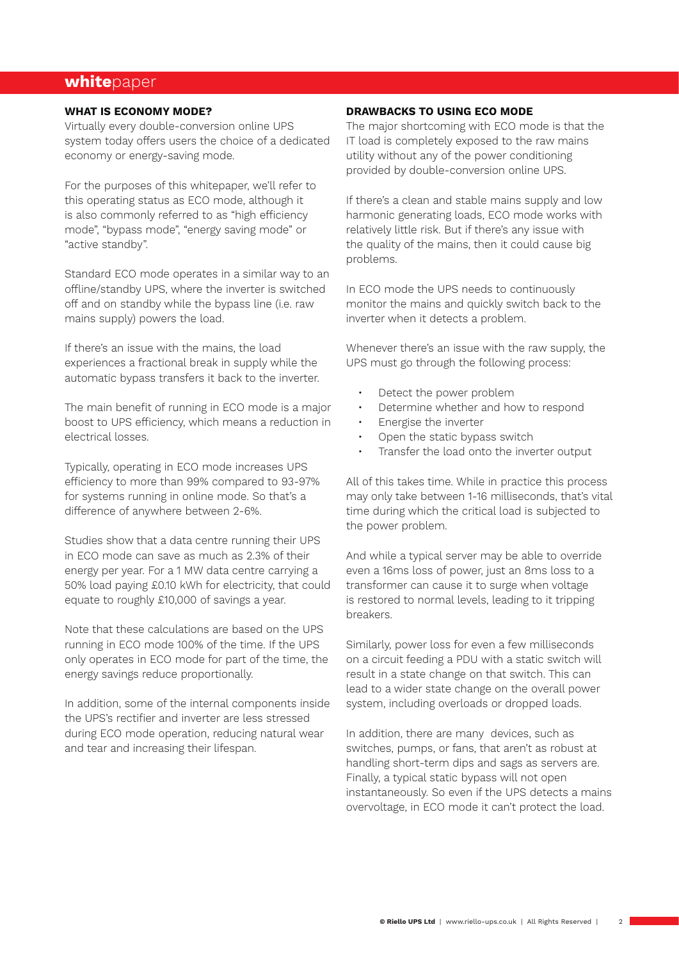#### **WHAT IS ECONOMY MODE?**

Virtually every double-conversion online UPS system today offers users the choice of a dedicated economy or energy-saving mode.

For the purposes of this whitepaper, we'll refer to this operating status as ECO mode, although it is also commonly referred to as "high efficiency mode", "bypass mode", "energy saving mode" or "active standby".

Standard ECO mode operates in a similar way to an offline/standby UPS, where the inverter is switched off and on standby while the bypass line (i.e. raw mains supply) powers the load.

If there's an issue with the mains, the load experiences a fractional break in supply while the automatic bypass transfers it back to the inverter.

The main benefit of running in ECO mode is a major boost to UPS efficiency, which means a reduction in electrical losses.

Typically, operating in ECO mode increases UPS efficiency to more than 99% compared to 93-97% for systems running in online mode. So that's a difference of anywhere between 2-6%.

Studies show that a data centre running their UPS in ECO mode can save as much as 2.3% of their energy per year. For a 1 MW data centre carrying a 50% load paying £0.10 kWh for electricity, that could equate to roughly £10,000 of savings a year.

Note that these calculations are based on the UPS running in ECO mode 100% of the time. If the UPS only operates in ECO mode for part of the time, the energy savings reduce proportionally.

In addition, some of the internal components inside the UPS's rectifier and inverter are less stressed during ECO mode operation, reducing natural wear and tear and increasing their lifespan.

#### **DRAWBACKS TO USING ECO MODE**

The major shortcoming with ECO mode is that the IT load is completely exposed to the raw mains utility without any of the power conditioning provided by double-conversion online UPS.

If there's a clean and stable mains supply and low harmonic generating loads, ECO mode works with relatively little risk. But if there's any issue with the quality of the mains, then it could cause big problems.

In ECO mode the UPS needs to continuously monitor the mains and quickly switch back to the inverter when it detects a problem.

Whenever there's an issue with the raw supply, the UPS must go through the following process:

- Detect the power problem
- Determine whether and how to respond
- Energise the inverter
- Open the static bypass switch
- Transfer the load onto the inverter output

All of this takes time. While in practice this process may only take between 1-16 milliseconds, that's vital time during which the critical load is subjected to the power problem.

And while a typical server may be able to override even a 16ms loss of power, just an 8ms loss to a transformer can cause it to surge when voltage is restored to normal levels, leading to it tripping breakers.

Similarly, power loss for even a few milliseconds on a circuit feeding a PDU with a static switch will result in a state change on that switch. This can lead to a wider state change on the overall power system, including overloads or dropped loads.

In addition, there are many devices, such as switches, pumps, or fans, that aren't as robust at handling short-term dips and sags as servers are. Finally, a typical static bypass will not open instantaneously. So even if the UPS detects a mains overvoltage, in ECO mode it can't protect the load.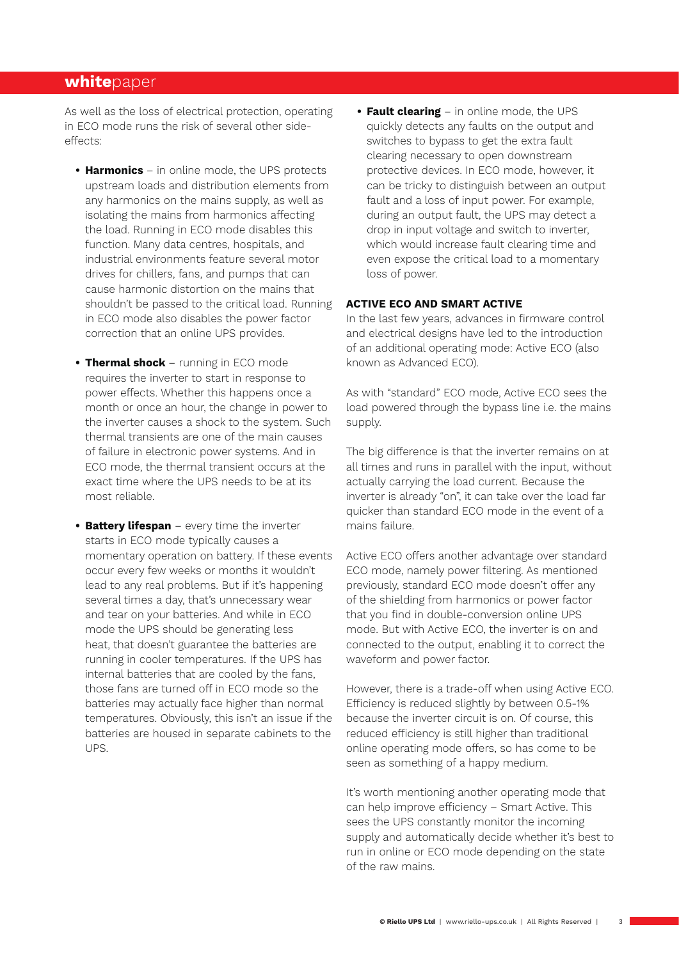As well as the loss of electrical protection, operating in ECO mode runs the risk of several other sideeffects:

- **• Harmonics**  in online mode, the UPS protects upstream loads and distribution elements from any harmonics on the mains supply, as well as isolating the mains from harmonics affecting the load. Running in ECO mode disables this function. Many data centres, hospitals, and industrial environments feature several motor drives for chillers, fans, and pumps that can cause harmonic distortion on the mains that shouldn't be passed to the critical load. Running in ECO mode also disables the power factor correction that an online UPS provides.
- **• Thermal shock**  running in ECO mode requires the inverter to start in response to power effects. Whether this happens once a month or once an hour, the change in power to the inverter causes a shock to the system. Such thermal transients are one of the main causes of failure in electronic power systems. And in ECO mode, the thermal transient occurs at the exact time where the UPS needs to be at its most reliable.
- **• Battery lifespan** every time the inverter starts in ECO mode typically causes a momentary operation on battery. If these events occur every few weeks or months it wouldn't lead to any real problems. But if it's happening several times a day, that's unnecessary wear and tear on your batteries. And while in ECO mode the UPS should be generating less heat, that doesn't guarantee the batteries are running in cooler temperatures. If the UPS has internal batteries that are cooled by the fans, those fans are turned off in ECO mode so the batteries may actually face higher than normal temperatures. Obviously, this isn't an issue if the batteries are housed in separate cabinets to the UPS.

**• Fault clearing** – in online mode, the UPS quickly detects any faults on the output and switches to bypass to get the extra fault clearing necessary to open downstream protective devices. In ECO mode, however, it can be tricky to distinguish between an output fault and a loss of input power. For example, during an output fault, the UPS may detect a drop in input voltage and switch to inverter, which would increase fault clearing time and even expose the critical load to a momentary loss of power.

#### **ACTIVE ECO AND SMART ACTIVE**

In the last few years, advances in firmware control and electrical designs have led to the introduction of an additional operating mode: Active ECO (also known as Advanced ECO).

As with "standard" ECO mode, Active ECO sees the load powered through the bypass line i.e. the mains supply.

The big difference is that the inverter remains on at all times and runs in parallel with the input, without actually carrying the load current. Because the inverter is already "on", it can take over the load far quicker than standard ECO mode in the event of a mains failure.

Active ECO offers another advantage over standard ECO mode, namely power filtering. As mentioned previously, standard ECO mode doesn't offer any of the shielding from harmonics or power factor that you find in double-conversion online UPS mode. But with Active ECO, the inverter is on and connected to the output, enabling it to correct the waveform and power factor.

However, there is a trade-off when using Active ECO. Efficiency is reduced slightly by between 0.5-1% because the inverter circuit is on. Of course, this reduced efficiency is still higher than traditional online operating mode offers, so has come to be seen as something of a happy medium.

It's worth mentioning another operating mode that can help improve efficiency – Smart Active. This sees the UPS constantly monitor the incoming supply and automatically decide whether it's best to run in online or ECO mode depending on the state of the raw mains.